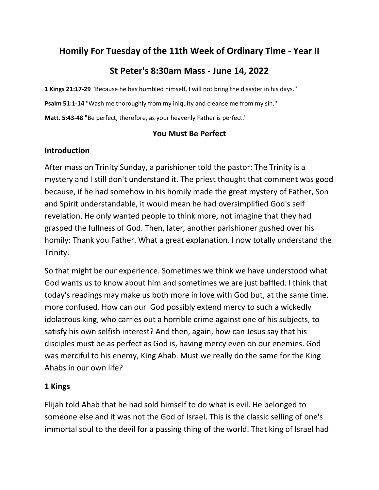## **Homily For Tuesday of the 11th Week of Ordinary Time - Year II**

# **St Peter's 8:30am Mass - June 14, 2022**

**1 Kings 21:17-29** "Because he has humbled himself, I will not bring the disaster in his days." **Psalm 51:1-14** "Wash me thoroughly from my iniquity and cleanse me from my sin." **Matt. 5:43-48** "Be perfect, therefore, as your heavenly Father is perfect."

#### **You Must Be Perfect**

#### **Introduction**

After mass on Trinity Sunday, a parishioner told the pastor: The Trinity is a mystery and I still don't understand it. The priest thought that comment was good because, if he had somehow in his homily made the great mystery of Father, Son and Spirit understandable, it would mean he had oversimplified God's self revelation. He only wanted people to think more, not imagine that they had grasped the fullness of God. Then, later, another parishioner gushed over his homily: Thank you Father. What a great explanation. I now totally understand the Trinity.

So that might be our experience. Sometimes we think we have understood what God wants us to know about him and sometimes we are just baffled. I think that today's readings may make us both more in love with God but, at the same time, more confused. How can our God possibly extend mercy to such a wickedly idolatrous king, who carries out a horrible crime against one of his subjects, to satisfy his own selfish interest? And then, again, how can Jesus say that his disciples must be as perfect as God is, having mercy even on our enemies. God was merciful to his enemy, King Ahab. Must we really do the same for the King Ahabs in our own life?

#### **1 Kings**

Elijah told Ahab that he had sold himself to do what is evil. He belonged to someone else and it was not the God of Israel. This is the classic selling of one's immortal soul to the devil for a passing thing of the world. That king of Israel had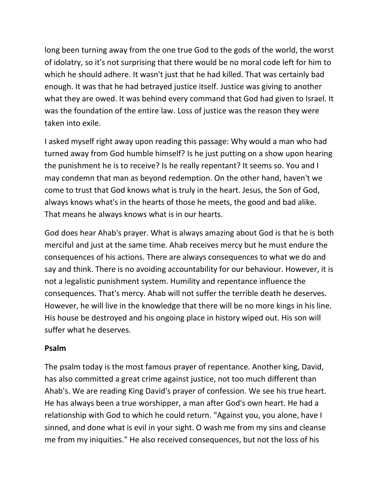long been turning away from the one true God to the gods of the world, the worst of idolatry, so it's not surprising that there would be no moral code left for him to which he should adhere. It wasn't just that he had killed. That was certainly bad enough. It was that he had betrayed justice itself. Justice was giving to another what they are owed. It was behind every command that God had given to Israel. It was the foundation of the entire law. Loss of justice was the reason they were taken into exile.

I asked myself right away upon reading this passage: Why would a man who had turned away from God humble himself? Is he just putting on a show upon hearing the punishment he is to receive? Is he really repentant? It seems so. You and I may condemn that man as beyond redemption. On the other hand, haven't we come to trust that God knows what is truly in the heart. Jesus, the Son of God, always knows what's in the hearts of those he meets, the good and bad alike. That means he always knows what is in our hearts.

God does hear Ahab's prayer. What is always amazing about God is that he is both merciful and just at the same time. Ahab receives mercy but he must endure the consequences of his actions. There are always consequences to what we do and say and think. There is no avoiding accountability for our behaviour. However, it is not a legalistic punishment system. Humility and repentance influence the consequences. That's mercy. Ahab will not suffer the terrible death he deserves. However, he will live in the knowledge that there will be no more kings in his line. His house be destroyed and his ongoing place in history wiped out. His son will suffer what he deserves.

#### **Psalm**

The psalm today is the most famous prayer of repentance. Another king, David, has also committed a great crime against justice, not too much different than Ahab's. We are reading King David's prayer of confession. We see his true heart. He has always been a true worshipper, a man after God's own heart. He had a relationship with God to which he could return. "Against you, you alone, have I sinned, and done what is evil in your sight. O wash me from my sins and cleanse me from my iniquities." He also received consequences, but not the loss of his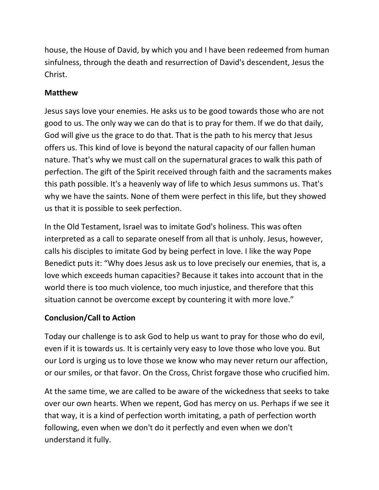house, the House of David, by which you and I have been redeemed from human sinfulness, through the death and resurrection of David's descendent, Jesus the Christ.

### **Matthew**

Jesus says love your enemies. He asks us to be good towards those who are not good to us. The only way we can do that is to pray for them. If we do that daily, God will give us the grace to do that. That is the path to his mercy that Jesus offers us. This kind of love is beyond the natural capacity of our fallen human nature. That's why we must call on the supernatural graces to walk this path of perfection. The gift of the Spirit received through faith and the sacraments makes this path possible. It's a heavenly way of life to which Jesus summons us. That's why we have the saints. None of them were perfect in this life, but they showed us that it is possible to seek perfection.

In the Old Testament, Israel was to imitate God's holiness. This was often interpreted as a call to separate oneself from all that is unholy. Jesus, however, calls his disciples to imitate God by being perfect in love. I like the way Pope Benedict puts it: "Why does Jesus ask us to love precisely our enemies, that is, a love which exceeds human capacities? Because it takes into account that in the world there is too much violence, too much injustice, and therefore that this situation cannot be overcome except by countering it with more love."

## **Conclusion/Call to Action**

Today our challenge is to ask God to help us want to pray for those who do evil, even if it is towards us. It is certainly very easy to love those who love you. But our Lord is urging us to love those we know who may never return our affection, or our smiles, or that favor. On the Cross, Christ forgave those who crucified him.

At the same time, we are called to be aware of the wickedness that seeks to take over our own hearts. When we repent, God has mercy on us. Perhaps if we see it that way, it is a kind of perfection worth imitating, a path of perfection worth following, even when we don't do it perfectly and even when we don't understand it fully.